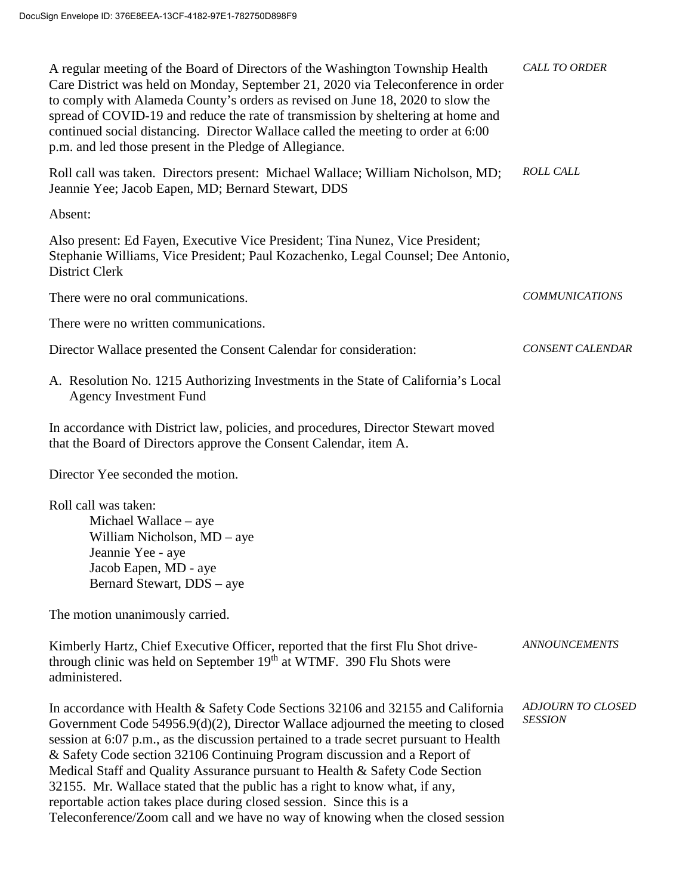| A regular meeting of the Board of Directors of the Washington Township Health<br>Care District was held on Monday, September 21, 2020 via Teleconference in order<br>to comply with Alameda County's orders as revised on June 18, 2020 to slow the<br>spread of COVID-19 and reduce the rate of transmission by sheltering at home and<br>continued social distancing. Director Wallace called the meeting to order at 6:00<br>p.m. and led those present in the Pledge of Allegiance.                                                                                                                                                                            | <b>CALL TO ORDER</b>                       |
|--------------------------------------------------------------------------------------------------------------------------------------------------------------------------------------------------------------------------------------------------------------------------------------------------------------------------------------------------------------------------------------------------------------------------------------------------------------------------------------------------------------------------------------------------------------------------------------------------------------------------------------------------------------------|--------------------------------------------|
| Roll call was taken. Directors present: Michael Wallace; William Nicholson, MD;<br>Jeannie Yee; Jacob Eapen, MD; Bernard Stewart, DDS                                                                                                                                                                                                                                                                                                                                                                                                                                                                                                                              | <b>ROLL CALL</b>                           |
| Absent:                                                                                                                                                                                                                                                                                                                                                                                                                                                                                                                                                                                                                                                            |                                            |
| Also present: Ed Fayen, Executive Vice President; Tina Nunez, Vice President;<br>Stephanie Williams, Vice President; Paul Kozachenko, Legal Counsel; Dee Antonio,<br><b>District Clerk</b>                                                                                                                                                                                                                                                                                                                                                                                                                                                                         |                                            |
| There were no oral communications.                                                                                                                                                                                                                                                                                                                                                                                                                                                                                                                                                                                                                                 | <b>COMMUNICATIONS</b>                      |
| There were no written communications.                                                                                                                                                                                                                                                                                                                                                                                                                                                                                                                                                                                                                              |                                            |
| Director Wallace presented the Consent Calendar for consideration:                                                                                                                                                                                                                                                                                                                                                                                                                                                                                                                                                                                                 | <b>CONSENT CALENDAR</b>                    |
| A. Resolution No. 1215 Authorizing Investments in the State of California's Local<br><b>Agency Investment Fund</b>                                                                                                                                                                                                                                                                                                                                                                                                                                                                                                                                                 |                                            |
| In accordance with District law, policies, and procedures, Director Stewart moved<br>that the Board of Directors approve the Consent Calendar, item A.                                                                                                                                                                                                                                                                                                                                                                                                                                                                                                             |                                            |
| Director Yee seconded the motion.                                                                                                                                                                                                                                                                                                                                                                                                                                                                                                                                                                                                                                  |                                            |
| Roll call was taken:<br>Michael Wallace – aye<br>William Nicholson, MD – aye<br>Jeannie Yee - aye<br>Jacob Eapen, MD - aye<br>Bernard Stewart, DDS - aye                                                                                                                                                                                                                                                                                                                                                                                                                                                                                                           |                                            |
| The motion unanimously carried.                                                                                                                                                                                                                                                                                                                                                                                                                                                                                                                                                                                                                                    |                                            |
| Kimberly Hartz, Chief Executive Officer, reported that the first Flu Shot drive-<br>through clinic was held on September 19th at WTMF. 390 Flu Shots were<br>administered.                                                                                                                                                                                                                                                                                                                                                                                                                                                                                         | <b>ANNOUNCEMENTS</b>                       |
| In accordance with Health & Safety Code Sections 32106 and 32155 and California<br>Government Code 54956.9(d)(2), Director Wallace adjourned the meeting to closed<br>session at 6:07 p.m., as the discussion pertained to a trade secret pursuant to Health<br>& Safety Code section 32106 Continuing Program discussion and a Report of<br>Medical Staff and Quality Assurance pursuant to Health & Safety Code Section<br>32155. Mr. Wallace stated that the public has a right to know what, if any,<br>reportable action takes place during closed session. Since this is a<br>Teleconference/Zoom call and we have no way of knowing when the closed session | <b>ADJOURN TO CLOSED</b><br><b>SESSION</b> |